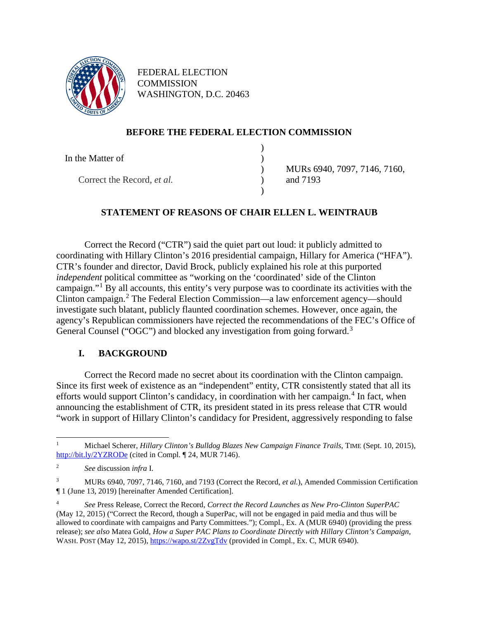

FEDERAL ELECTION **COMMISSION** WASHINGTON, D.C. 20463

# **BEFORE THE FEDERAL ELECTION COMMISSION**

| In the Matter of                  |                              |
|-----------------------------------|------------------------------|
|                                   | MURs 6940, 7097, 7146, 7160, |
| Correct the Record, <i>et al.</i> | and 7193                     |
|                                   |                              |

# **STATEMENT OF REASONS OF CHAIR ELLEN L. WEINTRAUB**

<span id="page-0-5"></span>Correct the Record ("CTR") said the quiet part out loud: it publicly admitted to coordinating with Hillary Clinton's 2016 presidential campaign, Hillary for America ("HFA"). CTR's founder and director, David Brock, publicly explained his role at this purported *independent* political committee as "working on the 'coordinated' side of the Clinton campaign."[1](#page-0-0) By all accounts, this entity's very purpose was to coordinate its activities with the Clinton campaign.[2](#page-0-1) The Federal Election Commission—a law enforcement agency—should investigate such blatant, publicly flaunted coordination schemes. However, once again, the agency's Republican commissioners have rejected the recommendations of the FEC's Office of General Counsel ("OGC") and blocked any investigation from going forward.<sup>[3](#page-0-2)</sup>

# <span id="page-0-4"></span>**I. BACKGROUND**

Correct the Record made no secret about its coordination with the Clinton campaign. Since its first week of existence as an "independent" entity, CTR consistently stated that all its efforts would support Clinton's candidacy, in coordination with her campaign. $4$  In fact, when announcing the establishment of CTR, its president stated in its press release that CTR would "work in support of Hillary Clinton's candidacy for President, aggressively responding to false

<span id="page-0-0"></span><sup>1</sup> Michael Scherer, *Hillary Clinton's Bulldog Blazes New Campaign Finance Trails*, TIME (Sept. 10, 2015), <http://bit.ly/2YZRODe> (cited in Compl. ¶ 24, MUR 7146).

<span id="page-0-1"></span><sup>2</sup> *See* discussion *infra* I.

<span id="page-0-2"></span><sup>3</sup> MURs 6940, 7097, 7146, 7160, and 7193 (Correct the Record, *et al.*), Amended Commission Certification ¶ 1 (June 13, 2019) [hereinafter Amended Certification].

<span id="page-0-3"></span><sup>4</sup> *See* Press Release, Correct the Record, *Correct the Record Launches as New Pro-Clinton SuperPAC* (May 12, 2015) ("Correct the Record, though a SuperPac, will not be engaged in paid media and thus will be allowed to coordinate with campaigns and Party Committees."); Compl., Ex. A (MUR 6940) (providing the press release); *see also* Matea Gold, *How a Super PAC Plans to Coordinate Directly with Hillary Clinton's Campaign*, WASH. POST (May 12, 2015),<https://wapo.st/2ZvgTdv> (provided in Compl., Ex. C, MUR 6940).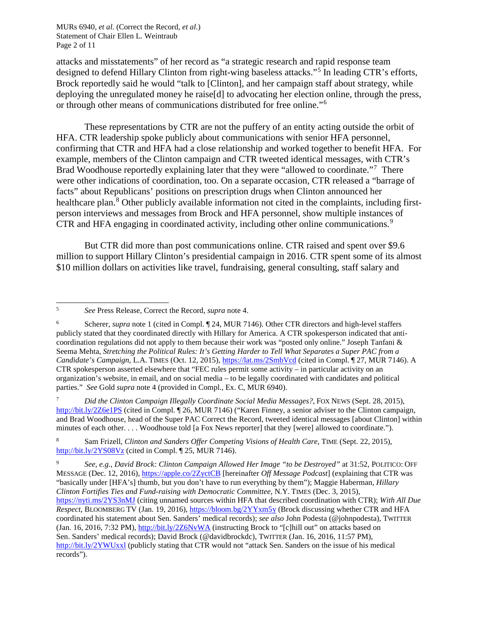MURs 6940, *et al.* (Correct the Record, *et al.*) Statement of Chair Ellen L. Weintraub Page 2 of 11

attacks and misstatements" of her record as "a strategic research and rapid response team designed to defend Hillary Clinton from right-wing baseless attacks."[5](#page-1-0) In leading CTR's efforts, Brock reportedly said he would "talk to [Clinton], and her campaign staff about strategy, while deploying the unregulated money he raise[d] to advocating her election online, through the press, or through other means of communications distributed for free online."[6](#page-1-1)

<span id="page-1-8"></span><span id="page-1-5"></span>These representations by CTR are not the puffery of an entity acting outside the orbit of HFA. CTR leadership spoke publicly about communications with senior HFA personnel, confirming that CTR and HFA had a close relationship and worked together to benefit HFA. For example, members of the Clinton campaign and CTR tweeted identical messages, with CTR's Brad Woodhouse reportedly explaining later that they were "allowed to coordinate."<sup>[7](#page-1-2)</sup> There were other indications of coordination, too. On a separate occasion, CTR released a "barrage of facts" about Republicans' positions on prescription drugs when Clinton announced her healthcare plan.<sup>[8](#page-1-3)</sup> Other publicly available information not cited in the complaints, including firstperson interviews and messages from Brock and HFA personnel, show multiple instances of CTR and HFA engaging in coordinated activity, including other online communications. [9](#page-1-4)

<span id="page-1-7"></span><span id="page-1-6"></span>But CTR did more than post communications online. CTR raised and spent over \$9.6 million to support Hillary Clinton's presidential campaign in 2016. CTR spent some of its almost \$10 million dollars on activities like travel, fundraising, general consulting, staff salary and

<span id="page-1-2"></span><sup>7</sup> *Did the Clinton Campaign Illegally Coordinate Social Media Messages?*, FOX NEWS (Sept. 28, 2015), <http://bit.ly/2Z6e1PS> (cited in Compl. ¶ 26, MUR 7146) ("Karen Finney, a senior adviser to the Clinton campaign, and Brad Woodhouse, head of the Super PAC Correct the Record, tweeted identical messages [about Clinton] within minutes of each other. . . . Woodhouse told [a Fox News reporter] that they [were] allowed to coordinate.").

<span id="page-1-3"></span><sup>8</sup> Sam Frizell, *Clinton and Sanders Offer Competing Visions of Health Care*, TIME (Sept. 22, 2015), <http://bit.ly/2YS08Vz> (cited in Compl. ¶ 25, MUR 7146).

<span id="page-1-0"></span><sup>5</sup> *See* Press Release, Correct the Record, *supra* note [4.](#page-0-4)

<span id="page-1-1"></span><sup>6</sup> Scherer, *supra* not[e 1](#page-0-5) (cited in Compl. ¶ 24, MUR 7146). Other CTR directors and high-level staffers publicly stated that they coordinated directly with Hillary for America. A CTR spokesperson indicated that anticoordination regulations did not apply to them because their work was "posted only online." Joseph Tanfani & Seema Mehta, *Stretching the Political Rules: It's Getting Harder to Tell What Separates a Super PAC from a Candidate's Campaign*, L.A. TIMES (Oct. 12, 2015),<https://lat.ms/2SmbVcd> (cited in Compl. ¶ 27, MUR 7146). A CTR spokesperson asserted elsewhere that "FEC rules permit some activity – in particular activity on an organization's website, in email, and on social media – to be legally coordinated with candidates and political parties." *See* Gold *supra* note [4](#page-0-4) (provided in Compl., Ex. C, MUR 6940).

<span id="page-1-4"></span><sup>9</sup> *See, e.g.*, *David Brock: Clinton Campaign Allowed Her Image "to be Destroyed"* at 31:52, POLITICO: OFF MESSAGE (Dec. 12, 2016)[, https://apple.co/2ZyctCB](https://apple.co/2ZyctCB) [hereinafter *Off Message Podcast*] (explaining that CTR was "basically under [HFA's] thumb, but you don't have to run everything by them"); Maggie Haberman, *Hillary Clinton Fortifies Ties and Fund-raising with Democratic Committee*, N.Y. TIMES (Dec. 3, 2015), <https://nyti.ms/2YS3nMJ> (citing unnamed sources within HFA that described coordination with CTR); *With All Due Respect*, BLOOMBERG TV (Jan. 19, 2016)[, https://bloom.bg/2YYxm5y](https://bloom.bg/2YYxm5y) (Brock discussing whether CTR and HFA coordinated his statement about Sen. Sanders' medical records); *see also* John Podesta (@johnpodesta), TWITTER (Jan. 16, 2016, 7:32 PM)[, http://bit.ly/2Z6NvWA](http://bit.ly/2Z6NvWA) (instructing Brock to "[c]hill out" on attacks based on Sen. Sanders' medical records); David Brock (@davidbrockdc), TWITTER (Jan. 16, 2016, 11:57 PM), <http://bit.ly/2YWUxxl> (publicly stating that CTR would not "attack Sen. Sanders on the issue of his medical records").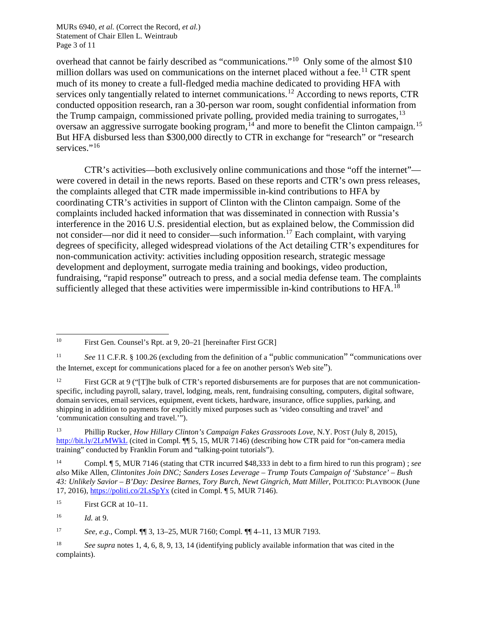MURs 6940, *et al.* (Correct the Record, *et al.*) Statement of Chair Ellen L. Weintraub Page 3 of 11

<span id="page-2-0"></span>overhead that cannot be fairly described as "communications."[10](#page-2-2) Only some of the almost \$10 million dollars was used on communications on the internet placed without a fee.<sup>[11](#page-2-3)</sup> CTR spent much of its money to create a full-fledged media machine dedicated to providing HFA with services only tangentially related to internet communications.<sup>[12](#page-2-4)</sup> According to news reports, CTR conducted opposition research, ran a 30-person war room, sought confidential information from the Trump campaign, commissioned private polling, provided media training to surrogates,  $13$ oversaw an aggressive surrogate booking program,  $^{14}$  $^{14}$  $^{14}$  and more to benefit the Clinton campaign.  $^{15}$  $^{15}$  $^{15}$ But HFA disbursed less than \$300,000 directly to CTR in exchange for "research" or "research services."<sup>[16](#page-2-8)</sup>

<span id="page-2-1"></span>CTR's activities—both exclusively online communications and those "off the internet" were covered in detail in the news reports. Based on these reports and CTR's own press releases, the complaints alleged that CTR made impermissible in-kind contributions to HFA by coordinating CTR's activities in support of Clinton with the Clinton campaign. Some of the complaints included hacked information that was disseminated in connection with Russia's interference in the 2016 U.S. presidential election, but as explained below, the Commission did not consider—nor did it need to consider—such information.<sup>[17](#page-2-9)</sup> Each complaint, with varying degrees of specificity, alleged widespread violations of the Act detailing CTR's expenditures for non-communication activity: activities including opposition research, strategic message development and deployment, surrogate media training and bookings, video production, fundraising, "rapid response" outreach to press, and a social media defense team. The complaints sufficiently alleged that these activities were impermissible in-kind contributions to HFA.<sup>[18](#page-2-10)</sup>

<span id="page-2-2"></span><sup>10</sup> First Gen. Counsel's Rpt. at 9, 20–21 [hereinafter First GCR]

<span id="page-2-3"></span><sup>11</sup> *See* 11 C.F.R. § 100.26 (excluding from the definition of a "public communication" "communications over the Internet, except for communications placed for a fee on another person's Web site").

<span id="page-2-4"></span><sup>&</sup>lt;sup>12</sup> First GCR at 9 ("[T]he bulk of CTR's reported disbursements are for purposes that are not communicationspecific, including payroll, salary, travel, lodging, meals, rent, fundraising consulting, computers, digital software, domain services, email services, equipment, event tickets, hardware, insurance, office supplies, parking, and shipping in addition to payments for explicitly mixed purposes such as 'video consulting and travel' and 'communication consulting and travel.'").

<span id="page-2-5"></span><sup>13</sup> Phillip Rucker, *How Hillary Clinton's Campaign Fakes Grassroots Love*, N.Y. POST (July 8, 2015), <http://bit.ly/2LrMWkL> (cited in Compl. ¶¶ 5, 15, MUR 7146) (describing how CTR paid for "on-camera media training" conducted by Franklin Forum and "talking-point tutorials").

<span id="page-2-6"></span><sup>14</sup> Compl. ¶ 5, MUR 7146 (stating that CTR incurred \$48,333 in debt to a firm hired to run this program) ; *see also* Mike Allen, *Clintonites Join DNC; Sanders Loses Leverage – Trump Touts Campaign of 'Substance' – Bush 43: Unlikely Savior – B'Day: Desiree Barnes, Tory Burch, Newt Gingrich, Matt Miller*, POLITICO: PLAYBOOK (June 17, 2016),<https://politi.co/2LsSpYx> (cited in Compl. ¶ 5, MUR 7146).

<span id="page-2-7"></span><sup>15</sup> First GCR at 10–11.

<span id="page-2-8"></span><sup>16</sup> *Id.* at 9.

<span id="page-2-9"></span><sup>17</sup> *See, e.g.*, Compl. ¶¶ 3, 13–25, MUR 7160; Compl. ¶¶ 4–11, 13 MUR 7193.

<span id="page-2-10"></span><sup>18</sup> *See supra* notes [1,](#page-0-5) [4,](#page-0-4) [6,](#page-1-5) [8,](#page-1-6) [9,](#page-1-7) [13,](#page-2-0) [14](#page-2-1) (identifying publicly available information that was cited in the complaints).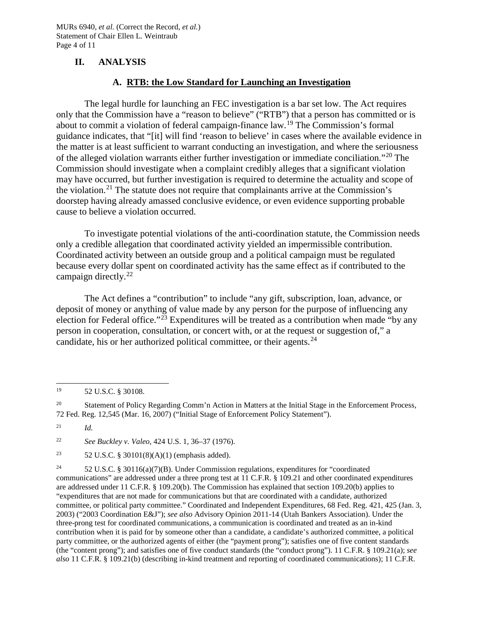### **II. ANALYSIS**

#### **A. RTB: the Low Standard for Launching an Investigation**

The legal hurdle for launching an FEC investigation is a bar set low. The Act requires only that the Commission have a "reason to believe" ("RTB") that a person has committed or is about to commit a violation of federal campaign-finance law.[19](#page-3-0) The Commission's formal guidance indicates, that "[it] will find 'reason to believe' in cases where the available evidence in the matter is at least sufficient to warrant conducting an investigation, and where the seriousness of the alleged violation warrants either further investigation or immediate conciliation."[20](#page-3-1) The Commission should investigate when a complaint credibly alleges that a significant violation may have occurred, but further investigation is required to determine the actuality and scope of the violation.[21](#page-3-2) The statute does not require that complainants arrive at the Commission's doorstep having already amassed conclusive evidence, or even evidence supporting probable cause to believe a violation occurred.

To investigate potential violations of the anti-coordination statute, the Commission needs only a credible allegation that coordinated activity yielded an impermissible contribution. Coordinated activity between an outside group and a political campaign must be regulated because every dollar spent on coordinated activity has the same effect as if contributed to the campaign directly.[22](#page-3-3)

The Act defines a "contribution" to include "any gift, subscription, loan, advance, or deposit of money or anything of value made by any person for the purpose of influencing any election for Federal office."<sup>[23](#page-3-4)</sup> Expenditures will be treated as a contribution when made "by any person in cooperation, consultation, or concert with, or at the request or suggestion of," a candidate, his or her authorized political committee, or their agents.  $24$ 

<span id="page-3-1"></span><sup>20</sup> Statement of Policy Regarding Comm'n Action in Matters at the Initial Stage in the Enforcement Process, 72 Fed. Reg. 12,545 (Mar. 16, 2007) ("Initial Stage of Enforcement Policy Statement").

<span id="page-3-3"></span><sup>22</sup> *See Buckley v. Valeo*, 424 U.S. 1, 36–37 (1976).

<span id="page-3-4"></span><sup>23</sup> 52 U.S.C. § 30101(8)(A)(1) (emphasis added).

<span id="page-3-5"></span><sup>24</sup> 52 U.S.C. § 30116(a)(7)(B). Under Commission regulations, expenditures for "coordinated communications" are addressed under a three prong test at 11 C.F.R. § 109.21 and other coordinated expenditures are addressed under 11 C.F.R. § 109.20(b). The Commission has explained that section 109.20(b) applies to "expenditures that are not made for communications but that are coordinated with a candidate, authorized committee, or political party committee." Coordinated and Independent Expenditures, 68 Fed. Reg. 421, 425 (Jan. 3, 2003) ("2003 Coordination E&J"); *see also* Advisory Opinion 2011-14 (Utah Bankers Association). Under the three-prong test for coordinated communications, a communication is coordinated and treated as an in-kind contribution when it is paid for by someone other than a candidate, a candidate's authorized committee, a political party committee, or the authorized agents of either (the "payment prong"); satisfies one of five content standards (the "content prong"); and satisfies one of five conduct standards (the "conduct prong"). 11 C.F.R. § 109.21(a); *see also* 11 C.F.R. § 109.21(b) (describing in-kind treatment and reporting of coordinated communications); 11 C.F.R.

<span id="page-3-0"></span><sup>19</sup> 52 U.S.C. § 30108.

<span id="page-3-2"></span> $^{21}$  *Id.*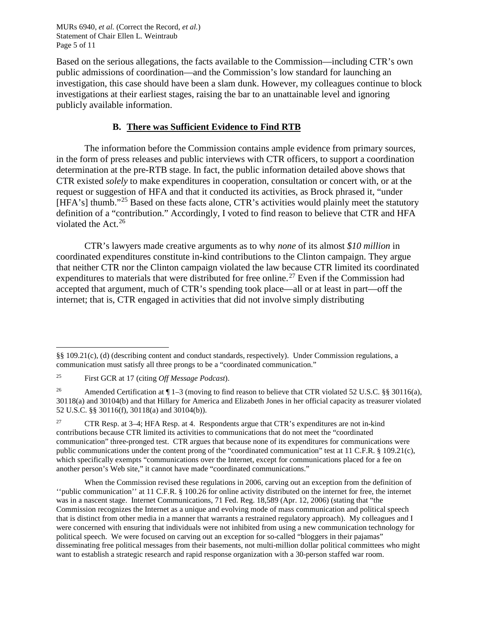MURs 6940, *et al.* (Correct the Record, *et al.*) Statement of Chair Ellen L. Weintraub Page 5 of 11

Based on the serious allegations, the facts available to the Commission—including CTR's own public admissions of coordination—and the Commission's low standard for launching an investigation, this case should have been a slam dunk. However, my colleagues continue to block investigations at their earliest stages, raising the bar to an unattainable level and ignoring publicly available information.

### **B. There was Sufficient Evidence to Find RTB**

The information before the Commission contains ample evidence from primary sources, in the form of press releases and public interviews with CTR officers, to support a coordination determination at the pre-RTB stage. In fact, the public information detailed above shows that CTR existed *solely* to make expenditures in cooperation, consultation or concert with, or at the request or suggestion of HFA and that it conducted its activities, as Brock phrased it, "under [HFA's] thumb."<sup>[25](#page-4-0)</sup> Based on these facts alone, CTR's activities would plainly meet the statutory definition of a "contribution." Accordingly, I voted to find reason to believe that CTR and HFA violated the Act. $26$ 

CTR's lawyers made creative arguments as to why *none* of its almost *\$10 million* in coordinated expenditures constitute in-kind contributions to the Clinton campaign. They argue that neither CTR nor the Clinton campaign violated the law because CTR limited its coordinated expenditures to materials that were distributed for free online.<sup>[27](#page-4-2)</sup> Even if the Commission had accepted that argument, much of CTR's spending took place—all or at least in part—off the internet; that is, CTR engaged in activities that did not involve simply distributing

j §§ 109.21(c), (d) (describing content and conduct standards, respectively). Under Commission regulations, a communication must satisfy all three prongs to be a "coordinated communication."

<span id="page-4-0"></span><sup>25</sup> First GCR at 17 (citing *Off Message Podcast*).

<span id="page-4-1"></span><sup>&</sup>lt;sup>26</sup> Amended Certification at ¶ 1–3 (moving to find reason to believe that CTR violated 52 U.S.C. §§ 30116(a), 30118(a) and 30104(b) and that Hillary for America and Elizabeth Jones in her official capacity as treasurer violated 52 U.S.C. §§ 30116(f), 30118(a) and 30104(b)).

<span id="page-4-2"></span><sup>&</sup>lt;sup>27</sup> CTR Resp. at 3–4; HFA Resp. at 4. Respondents argue that CTR's expenditures are not in-kind contributions because CTR limited its activities to communications that do not meet the "coordinated communication" three-pronged test. CTR argues that because none of its expenditures for communications were public communications under the content prong of the "coordinated communication" test at 11 C.F.R. § 109.21(c), which specifically exempts "communications over the Internet, except for communications placed for a fee on another person's Web site," it cannot have made "coordinated communications."

When the Commission revised these regulations in 2006, carving out an exception from the definition of ''public communication'' at 11 C.F.R. § 100.26 for online activity distributed on the internet for free, the internet was in a nascent stage. Internet Communications, 71 Fed. Reg. 18,589 (Apr. 12, 2006) (stating that "the Commission recognizes the Internet as a unique and evolving mode of mass communication and political speech that is distinct from other media in a manner that warrants a restrained regulatory approach). My colleagues and I were concerned with ensuring that individuals were not inhibited from using a new communication technology for political speech. We were focused on carving out an exception for so-called "bloggers in their pajamas" disseminating free political messages from their basements, not multi-million dollar political committees who might want to establish a strategic research and rapid response organization with a 30-person staffed war room.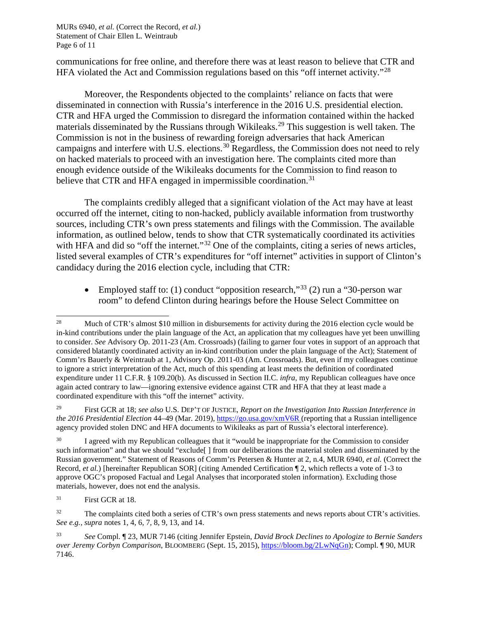MURs 6940, *et al.* (Correct the Record, *et al.*) Statement of Chair Ellen L. Weintraub Page 6 of 11

communications for free online, and therefore there was at least reason to believe that CTR and HFA violated the Act and Commission regulations based on this "off internet activity."<sup>[28](#page-5-0)</sup>

Moreover, the Respondents objected to the complaints' reliance on facts that were disseminated in connection with Russia's interference in the 2016 U.S. presidential election. CTR and HFA urged the Commission to disregard the information contained within the hacked materials disseminated by the Russians through Wikileaks.[29](#page-5-1) This suggestion is well taken. The Commission is not in the business of rewarding foreign adversaries that hack American campaigns and interfere with U.S. elections.<sup>[30](#page-5-2)</sup> Regardless, the Commission does not need to rely on hacked materials to proceed with an investigation here. The complaints cited more than enough evidence outside of the Wikileaks documents for the Commission to find reason to believe that CTR and HFA engaged in impermissible coordination.<sup>[31](#page-5-3)</sup>

The complaints credibly alleged that a significant violation of the Act may have at least occurred off the internet, citing to non-hacked, publicly available information from trustworthy sources, including CTR's own press statements and filings with the Commission. The available information, as outlined below, tends to show that CTR systematically coordinated its activities with HFA and did so "off the internet."<sup>[32](#page-5-4)</sup> One of the complaints, citing a series of news articles, listed several examples of CTR's expenditures for "off internet" activities in support of Clinton's candidacy during the 2016 election cycle, including that CTR:

• Employed staff to: (1) conduct "opposition research,"<sup>[33](#page-5-5)</sup> (2) run a "30-person war room" to defend Clinton during hearings before the House Select Committee on

<span id="page-5-0"></span><sup>&</sup>lt;sup>28</sup> Much of CTR's almost \$10 million in disbursements for activity during the 2016 election cycle would be in-kind contributions under the plain language of the Act, an application that my colleagues have yet been unwilling to consider. *See* Advisory Op. 2011-23 (Am. Crossroads) (failing to garner four votes in support of an approach that considered blatantly coordinated activity an in-kind contribution under the plain language of the Act); Statement of Comm'rs Bauerly & Weintraub at 1, Advisory Op. 2011-03 (Am. Crossroads). But, even if my colleagues continue to ignore a strict interpretation of the Act, much of this spending at least meets the definition of coordinated expenditure under 11 C.F.R. § 109.20(b). As discussed in Section II.C. *infra*, my Republican colleagues have once again acted contrary to law—ignoring extensive evidence against CTR and HFA that they at least made a coordinated expenditure with this "off the internet" activity.

<span id="page-5-1"></span><sup>29</sup> First GCR at 18; *see also* U.S. DEP'T OF JUSTICE, *Report on the Investigation Into Russian Interference in the 2016 Presidential Election* 44–49 (Mar. 2019),<https://go.usa.gov/xmV6R> (reporting that a Russian intelligence agency provided stolen DNC and HFA documents to Wikileaks as part of Russia's electoral interference).

<span id="page-5-2"></span><sup>&</sup>lt;sup>30</sup> I agreed with my Republican colleagues that it "would be inappropriate for the Commission to consider such information" and that we should "exclude[ ] from our deliberations the material stolen and disseminated by the Russian government." Statement of Reasons of Comm'rs Petersen & Hunter at 2, n.4, MUR 6940, *et al.* (Correct the Record, *et al.*) [hereinafter Republican SOR] (citing Amended Certification ¶ 2, which reflects a vote of 1-3 to approve OGC's proposed Factual and Legal Analyses that incorporated stolen information). Excluding those materials, however, does not end the analysis.

<span id="page-5-3"></span><sup>&</sup>lt;sup>31</sup> First GCR at 18.

<span id="page-5-4"></span><sup>&</sup>lt;sup>32</sup> The complaints cited both a series of CTR's own press statements and news reports about CTR's activities. *See e.g., supra* note[s 1,](#page-0-5) [4,](#page-0-4) [6,](#page-1-5) [7,](#page-1-8) [8,](#page-1-6) [9,](#page-1-7) [13,](#page-2-0) an[d 14.](#page-2-1)

<span id="page-5-5"></span><sup>33</sup> *See* Compl. ¶ 23, MUR 7146 (citing Jennifer Epstein, *David Brock Declines to Apologize to Bernie Sanders over Jeremy Corbyn Comparison*, BLOOMBERG (Sept. 15, 2015), [https://bloom.bg/2LwNqGn\)](https://bloom.bg/2LwNqGn); Compl. ¶ 90, MUR 7146.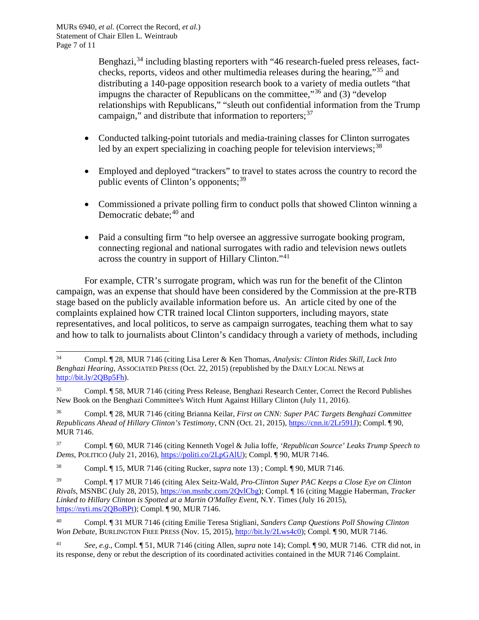Benghazi,  $34$  including blasting reporters with "46 research-fueled press releases, factchecks, reports, videos and other multimedia releases during the hearing,"[35](#page-6-1) and distributing a 140-page opposition research book to a variety of media outlets "that impugns the character of Republicans on the committee,"<sup>[36](#page-6-2)</sup> and (3) "develop relationships with Republicans," "sleuth out confidential information from the Trump campaign," and distribute that information to reporters;  $37$ 

- Conducted talking-point tutorials and media-training classes for Clinton surrogates led by an expert specializing in coaching people for television interviews;<sup>[38](#page-6-4)</sup>
- Employed and deployed "trackers" to travel to states across the country to record the public events of Clinton's opponents;<sup>[39](#page-6-5)</sup>
- Commissioned a private polling firm to conduct polls that showed Clinton winning a Democratic debate; $40$  and
- Paid a consulting firm "to help oversee an aggressive surrogate booking program, connecting regional and national surrogates with radio and television news outlets across the country in support of Hillary Clinton."[41](#page-6-7)

For example, CTR's surrogate program, which was run for the benefit of the Clinton campaign, was an expense that should have been considered by the Commission at the pre-RTB stage based on the publicly available information before us. An article cited by one of the complaints explained how CTR trained local Clinton supporters, including mayors, state representatives, and local politicos, to serve as campaign surrogates, teaching them what to say and how to talk to journalists about Clinton's candidacy through a variety of methods, including

<span id="page-6-2"></span><sup>36</sup> Compl. ¶ 28, MUR 7146 (citing Brianna Keilar, *First on CNN: Super PAC Targets Benghazi Committee Republicans Ahead of Hillary Clinton's Testimony*, CNN (Oct. 21, 2015), [https://cnn.it/2Lr591J\)](https://cnn.it/2Lr591J); Compl. ¶ 90, MUR 7146.

<span id="page-6-0"></span><sup>34</sup> Compl. ¶ 28, MUR 7146 (citing Lisa Lerer & Ken Thomas, *Analysis: Clinton Rides Skill, Luck Into Benghazi Hearing*, ASSOCIATED PRESS (Oct. 22, 2015) (republished by the DAILY LOCAL NEWS at [http://bit.ly/2QBp5Fh\)](http://bit.ly/2QBp5Fh).

<span id="page-6-1"></span><sup>35</sup> Compl. ¶ 58, MUR 7146 (citing Press Release, Benghazi Research Center, Correct the Record Publishes New Book on the Benghazi Committee's Witch Hunt Against Hillary Clinton (July 11, 2016).

<span id="page-6-3"></span><sup>37</sup> Compl. ¶ 60, MUR 7146 (citing Kenneth Vogel & Julia Ioffe, *'Republican Source' Leaks Trump Speech to Dems*, POLITICO (July 21, 2016)[, https://politi.co/2LpGAlU\)](https://politi.co/2LpGAlU); Compl. ¶ 90, MUR 7146.

<span id="page-6-4"></span><sup>38</sup> Compl. ¶ 15, MUR 7146 (citing Rucker, *supra* not[e 13\)](#page-2-0) ; Compl. ¶ 90, MUR 7146.

<span id="page-6-5"></span><sup>39</sup> Compl. ¶ 17 MUR 7146 (citing Alex Seitz-Wald, *Pro-Clinton Super PAC Keeps a Close Eye on Clinton Rivals*, MSNBC (July 28, 2015), [https://on.msnbc.com/2QvlCbg\)](https://on.msnbc.com/2QvlCbg); Compl. ¶ 16 (citing Maggie Haberman, *Tracker Linked to Hillary Clinton is Spotted at a Martin O'Malley Event*, N.Y. Times (July 16 2015), [https://nyti.ms/2QBoBPt\)](https://nyti.ms/2QBoBPt); Compl. ¶ 90, MUR 7146.

<span id="page-6-6"></span><sup>40</sup> Compl. ¶ 31 MUR 7146 (citing Emilie Teresa Stigliani, *Sanders Camp Questions Poll Showing Clinton Won Debate*, BURLINGTON FREE PRESS (Nov. 15, 2015), [http://bit.ly/2Lws4c0\)](http://bit.ly/2Lws4c0); Compl. ¶ 90, MUR 7146.

<span id="page-6-7"></span><sup>41</sup> *See, e.g.*, Compl. ¶ 51, MUR 7146 (citing Allen, *supra* note [14\)](#page-2-1); Compl. ¶ 90, MUR 7146. CTR did not, in its response, deny or rebut the description of its coordinated activities contained in the MUR 7146 Complaint.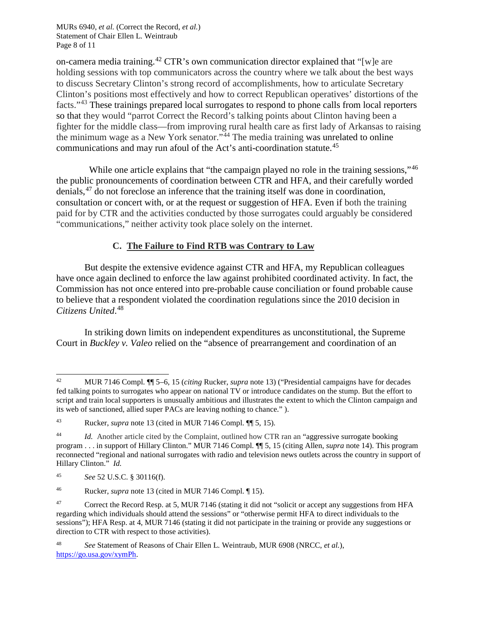MURs 6940, *et al.* (Correct the Record, *et al.*) Statement of Chair Ellen L. Weintraub Page 8 of 11

on-camera media training.<sup>[42](#page-7-0)</sup> CTR's own communication director explained that "[w]e are holding sessions with top communicators across the country where we talk about the best ways to discuss Secretary Clinton's strong record of accomplishments, how to articulate Secretary Clinton's positions most effectively and how to correct Republican operatives' distortions of the facts."[43](#page-7-1) These trainings prepared local surrogates to respond to phone calls from local reporters so that they would "parrot Correct the Record's talking points about Clinton having been a fighter for the middle class—from improving rural health care as first lady of Arkansas to raising the minimum wage as a New York senator."<sup>[44](#page-7-2)</sup> The media training was unrelated to online communications and may run afoul of the Act's anti-coordination statute.<sup>[45](#page-7-3)</sup>

While one article explains that "the campaign played no role in the training sessions,"<sup>[46](#page-7-4)</sup> the public pronouncements of coordination between CTR and HFA, and their carefully worded denials,<sup>[47](#page-7-5)</sup> do not foreclose an inference that the training itself was done in coordination, consultation or concert with, or at the request or suggestion of HFA. Even if both the training paid for by CTR and the activities conducted by those surrogates could arguably be considered "communications," neither activity took place solely on the internet.

# **C. The Failure to Find RTB was Contrary to Law**

But despite the extensive evidence against CTR and HFA, my Republican colleagues have once again declined to enforce the law against prohibited coordinated activity. In fact, the Commission has not once entered into pre-probable cause conciliation or found probable cause to believe that a respondent violated the coordination regulations since the 2010 decision in *Citizens United*. [48](#page-7-6)

In striking down limits on independent expenditures as unconstitutional, the Supreme Court in *Buckley v. Valeo* relied on the "absence of prearrangement and coordination of an

<span id="page-7-6"></span><sup>48</sup> *See* Statement of Reasons of Chair Ellen L. Weintraub, MUR 6908 (NRCC, *et al.*), [https://go.usa.gov/xymPh.](https://go.usa.gov/xymPh)

<span id="page-7-0"></span><sup>42</sup> MUR 7146 Compl. ¶¶ 5–6, 15 (*citing* Rucker, *supra* note [13\)](#page-2-0) ("Presidential campaigns have for decades fed talking points to surrogates who appear on national TV or introduce candidates on the stump. But the effort to script and train local supporters is unusually ambitious and illustrates the extent to which the Clinton campaign and its web of sanctioned, allied super PACs are leaving nothing to chance." ).

<span id="page-7-1"></span><sup>43</sup> Rucker, *supra* note [13](#page-2-0) (cited in MUR 7146 Compl. ¶¶ 5, 15).

<span id="page-7-2"></span><sup>44</sup> *Id.* Another article cited by the Complaint, outlined how CTR ran an "aggressive surrogate booking program . . . in support of Hillary Clinton." MUR 7146 Compl. ¶¶ 5, 15 (citing Allen, *supra* note [14\)](#page-2-1). This program reconnected "regional and national surrogates with radio and television news outlets across the country in support of Hillary Clinton." *Id.*

<span id="page-7-3"></span><sup>45</sup> *See* 52 U.S.C. § 30116(f).

<span id="page-7-4"></span><sup>46</sup> Rucker, *supra* note [13](#page-2-0) (cited in MUR 7146 Compl. ¶ 15).

<span id="page-7-5"></span><sup>&</sup>lt;sup>47</sup> Correct the Record Resp. at 5, MUR 7146 (stating it did not "solicit or accept any suggestions from HFA regarding which individuals should attend the sessions" or "otherwise permit HFA to direct individuals to the sessions"); HFA Resp. at 4, MUR 7146 (stating it did not participate in the training or provide any suggestions or direction to CTR with respect to those activities).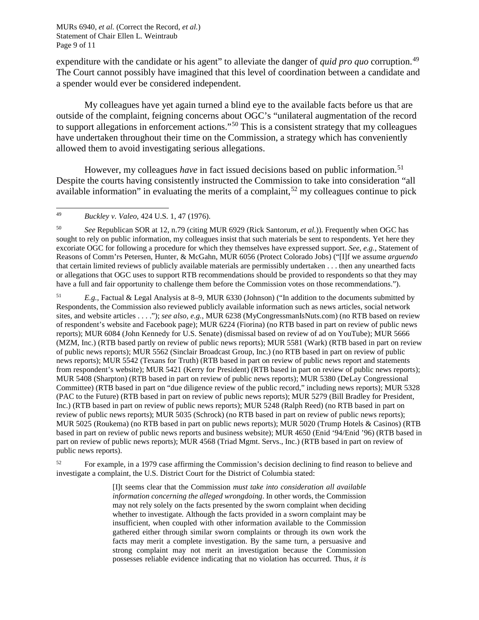MURs 6940, *et al.* (Correct the Record, *et al.*) Statement of Chair Ellen L. Weintraub Page 9 of 11

expenditure with the candidate or his agent" to alleviate the danger of *quid pro quo* corruption.<sup>[49](#page-8-0)</sup> The Court cannot possibly have imagined that this level of coordination between a candidate and a spender would ever be considered independent.

My colleagues have yet again turned a blind eye to the available facts before us that are outside of the complaint, feigning concerns about OGC's "unilateral augmentation of the record to support allegations in enforcement actions."[50](#page-8-1) This is a consistent strategy that my colleagues have undertaken throughout their time on the Commission, a strategy which has conveniently allowed them to avoid investigating serious allegations.

However, my colleagues *have* in fact issued decisions based on public information.<sup>[51](#page-8-2)</sup> Despite the courts having consistently instructed the Commission to take into consideration "all available information" in evaluating the merits of a complaint,<sup>[52](#page-8-3)</sup> my colleagues continue to pick

<span id="page-8-1"></span><sup>50</sup> *See* Republican SOR at 12, n.79 (citing MUR 6929 (Rick Santorum, *et al.*)). Frequently when OGC has sought to rely on public information, my colleagues insist that such materials be sent to respondents. Yet here they excoriate OGC for following a procedure for which they themselves have expressed support. *See, e.g.*, Statement of Reasons of Comm'rs Petersen, Hunter, & McGahn, MUR 6056 (Protect Colorado Jobs) ("[I]f we assume *arguendo* that certain limited reviews of publicly available materials are permissibly undertaken . . . then any unearthed facts or allegations that OGC uses to support RTB recommendations should be provided to respondents so that they may have a full and fair opportunity to challenge them before the Commission votes on those recommendations.").

<span id="page-8-2"></span><sup>51</sup> *E.g.,* Factual & Legal Analysis at 8–9, MUR 6330 (Johnson) ("In addition to the documents submitted by Respondents, the Commission also reviewed publicly available information such as news articles, social network sites, and website articles . . . ."); *see also, e.g.*, MUR 6238 (MyCongressmanIsNuts.com) (no RTB based on review of respondent's website and Facebook page); MUR 6224 (Fiorina) (no RTB based in part on review of public news reports); MUR 6084 (John Kennedy for U.S. Senate) (dismissal based on review of ad on YouTube); MUR 5666 (MZM, Inc.) (RTB based partly on review of public news reports); MUR 5581 (Wark) (RTB based in part on review of public news reports); MUR 5562 (Sinclair Broadcast Group, Inc.) (no RTB based in part on review of public news reports); MUR 5542 (Texans for Truth) (RTB based in part on review of public news report and statements from respondent's website); MUR 5421 (Kerry for President) (RTB based in part on review of public news reports); MUR 5408 (Sharpton) (RTB based in part on review of public news reports); MUR 5380 (DeLay Congressional Committee) (RTB based in part on "due diligence review of the public record," including news reports); MUR 5328 (PAC to the Future) (RTB based in part on review of public news reports); MUR 5279 (Bill Bradley for President, Inc.) (RTB based in part on review of public news reports); MUR 5248 (Ralph Reed) (no RTB based in part on review of public news reports); MUR 5035 (Schrock) (no RTB based in part on review of public news reports); MUR 5025 (Roukema) (no RTB based in part on public news reports); MUR 5020 (Trump Hotels & Casinos) (RTB based in part on review of public news reports and business website); MUR 4650 (Enid '94/Enid '96) (RTB based in part on review of public news reports); MUR 4568 (Triad Mgmt. Servs., Inc.) (RTB based in part on review of public news reports).

<span id="page-8-3"></span><sup>52</sup> For example, in a 1979 case affirming the Commission's decision declining to find reason to believe and investigate a complaint, the U.S. District Court for the District of Columbia stated:

> [I]t seems clear that the Commission *must take into consideration all available information concerning the alleged wrongdoing*. In other words, the Commission may not rely solely on the facts presented by the sworn complaint when deciding whether to investigate. Although the facts provided in a sworn complaint may be insufficient, when coupled with other information available to the Commission gathered either through similar sworn complaints or through its own work the facts may merit a complete investigation. By the same turn, a persuasive and strong complaint may not merit an investigation because the Commission possesses reliable evidence indicating that no violation has occurred. Thus, *it is*

<span id="page-8-0"></span><sup>49</sup> *Buckley v. Valeo,* 424 U.S. 1, 47 (1976).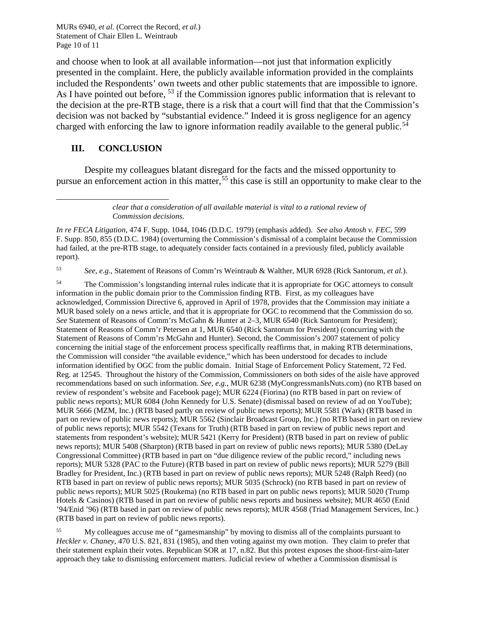MURs 6940, *et al.* (Correct the Record, *et al.*) Statement of Chair Ellen L. Weintraub Page 10 of 11

and choose when to look at all available information—not just that information explicitly presented in the complaint. Here, the publicly available information provided in the complaints included the Respondents' own tweets and other public statements that are impossible to ignore. As I have pointed out before, <sup>[53](#page-9-0)</sup> if the Commission ignores public information that is relevant to the decision at the pre-RTB stage, there is a risk that a court will find that that the Commission's decision was not backed by "substantial evidence." Indeed it is gross negligence for an agency charged with enforcing the law to ignore information readily available to the general public.<sup>[54](#page-9-1)</sup>

### **III. CONCLUSION**

l

Despite my colleagues blatant disregard for the facts and the missed opportunity to pursue an enforcement action in this matter,<sup>[55](#page-9-2)</sup> this case is still an opportunity to make clear to the

> *clear that a consideration of all available material is vital to a rational review of Commission decisions*.

*In re FECA Litigation*, 474 F. Supp. 1044, 1046 (D.D.C. 1979) (emphasis added). *See also Antosh v. FEC*, 599 F. Supp. 850, 855 (D.D.C. 1984) (overturning the Commission's dismissal of a complaint because the Commission had failed, at the pre-RTB stage, to adequately consider facts contained in a previously filed, publicly available report).

<span id="page-9-0"></span><sup>53</sup> *See, e.g.*, Statement of Reasons of Comm'rs Weintraub & Walther, MUR 6928 (Rick Santorum*, et al.*).

<span id="page-9-1"></span><sup>54</sup> The Commission's longstanding internal rules indicate that it is appropriate for OGC attorneys to consult information in the public domain prior to the Commission finding RTB. First, as my colleagues have acknowledged, Commission Directive 6, approved in April of 1978, provides that the Commission may initiate a MUR based solely on a news article, and that it is appropriate for OGC to recommend that the Commission do so. *See* Statement of Reasons of Comm'rs McGahn & Hunter at 2–3, MUR 6540 (Rick Santorum for President); Statement of Reasons of Comm'r Petersen at 1, MUR 6540 (Rick Santorum for President) (concurring with the Statement of Reasons of Comm'rs McGahn and Hunter). Second, the Commission's 2007 statement of policy concerning the initial stage of the enforcement process specifically reaffirms that, in making RTB determinations, the Commission will consider "the available evidence," which has been understood for decades to include information identified by OGC from the public domain. Initial Stage of Enforcement Policy Statement, 72 Fed. Reg. at 12545. Throughout the history of the Commission, Commissioners on both sides of the aisle have approved recommendations based on such information. *See, e.g.*, MUR 6238 (MyCongressmanIsNuts.com) (no RTB based on review of respondent's website and Facebook page); MUR 6224 (Fiorina) (no RTB based in part on review of public news reports); MUR 6084 (John Kennedy for U.S. Senate) (dismissal based on review of ad on YouTube); MUR 5666 (MZM, Inc.) (RTB based partly on review of public news reports); MUR 5581 (Wark) (RTB based in part on review of public news reports); MUR 5562 (Sinclair Broadcast Group, Inc.) (no RTB based in part on review of public news reports); MUR 5542 (Texans for Truth) (RTB based in part on review of public news report and statements from respondent's website); MUR 5421 (Kerry for President) (RTB based in part on review of public news reports); MUR 5408 (Sharpton) (RTB based in part on review of public news reports); MUR 5380 (DeLay Congressional Committee) (RTB based in part on "due diligence review of the public record," including news reports); MUR 5328 (PAC to the Future) (RTB based in part on review of public news reports); MUR 5279 (Bill Bradley for President, Inc.) (RTB based in part on review of public news reports); MUR 5248 (Ralph Reed) (no RTB based in part on review of public news reports); MUR 5035 (Schrock) (no RTB based in part on review of public news reports); MUR 5025 (Roukema) (no RTB based in part on public news reports); MUR 5020 (Trump Hotels & Casinos) (RTB based in part on review of public news reports and business website); MUR 4650 (Enid '94/Enid '96) (RTB based in part on review of public news reports); MUR 4568 (Triad Management Services, Inc.) (RTB based in part on review of public news reports).

<span id="page-9-2"></span><sup>55</sup> My colleagues accuse me of "gamesmanship" by moving to dismiss all of the complaints pursuant to *Heckler v. Chaney*, 470 U.S. 821, 831 (1985), and then voting against my own motion. They claim to prefer that their statement explain their votes. Republican SOR at 17, n.82. But this protest exposes the shoot-first-aim-later approach they take to dismissing enforcement matters. Judicial review of whether a Commission dismissal is